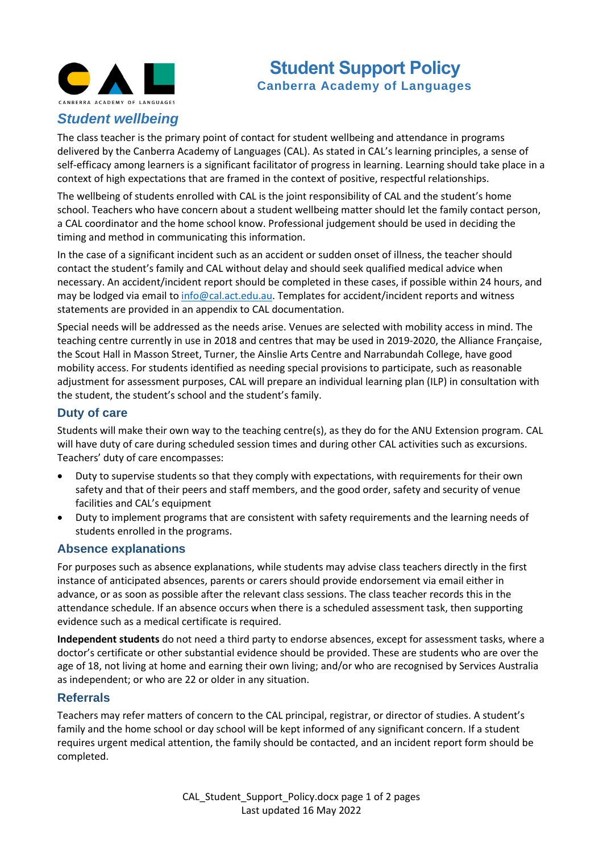

# **Student Support Policy Canberra Academy of Languages**

## *Student wellbeing*

The class teacher is the primary point of contact for student wellbeing and attendance in programs delivered by the Canberra Academy of Languages (CAL). As stated in CAL's learning principles, a sense of self-efficacy among learners is a significant facilitator of progress in learning. Learning should take place in a context of high expectations that are framed in the context of positive, respectful relationships.

The wellbeing of students enrolled with CAL is the joint responsibility of CAL and the student's home school. Teachers who have concern about a student wellbeing matter should let the family contact person, a CAL coordinator and the home school know. Professional judgement should be used in deciding the timing and method in communicating this information.

In the case of a significant incident such as an accident or sudden onset of illness, the teacher should contact the student's family and CAL without delay and should seek qualified medical advice when necessary. An accident/incident report should be completed in these cases, if possible within 24 hours, and may be lodged via email to [info@cal.act.edu.au.](mailto:info@cal.act.edu.au) Templates for accident/incident reports and witness statements are provided in an appendix to CAL documentation.

Special needs will be addressed as the needs arise. Venues are selected with mobility access in mind. The teaching centre currently in use in 2018 and centres that may be used in 2019-2020, the Alliance Française, the Scout Hall in Masson Street, Turner, the Ainslie Arts Centre and Narrabundah College, have good mobility access. For students identified as needing special provisions to participate, such as reasonable adjustment for assessment purposes, CAL will prepare an individual learning plan (ILP) in consultation with the student, the student's school and the student's family.

### **Duty of care**

Students will make their own way to the teaching centre(s), as they do for the ANU Extension program. CAL will have duty of care during scheduled session times and during other CAL activities such as excursions. Teachers' duty of care encompasses:

- Duty to supervise students so that they comply with expectations, with requirements for their own safety and that of their peers and staff members, and the good order, safety and security of venue facilities and CAL's equipment
- Duty to implement programs that are consistent with safety requirements and the learning needs of students enrolled in the programs.

### **Absence explanations**

For purposes such as absence explanations, while students may advise class teachers directly in the first instance of anticipated absences, parents or carers should provide endorsement via email either in advance, or as soon as possible after the relevant class sessions. The class teacher records this in the attendance schedule. If an absence occurs when there is a scheduled assessment task, then supporting evidence such as a medical certificate is required.

**Independent students** do not need a third party to endorse absences, except for assessment tasks, where a doctor's certificate or other substantial evidence should be provided. These are students who are over the age of 18, not living at home and earning their own living; and/or who are recognised by Services Australia as independent; or who are 22 or older in any situation.

#### **Referrals**

Teachers may refer matters of concern to the CAL principal, registrar, or director of studies. A student's family and the home school or day school will be kept informed of any significant concern. If a student requires urgent medical attention, the family should be contacted, and an incident report form should be completed.